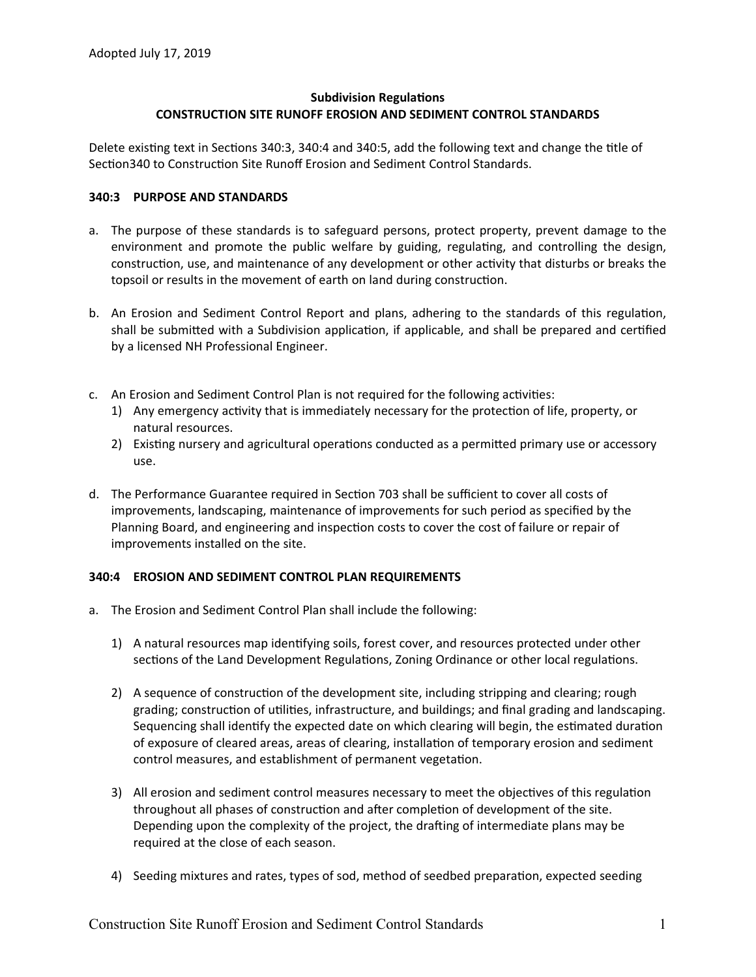# **Subdivision Regulations CONSTRUCTION SITE RUNOFF EROSION AND SEDIMENT CONTROL STANDARDS**

Delete existing text in Sections 340:3, 340:4 and 340:5, add the following text and change the title of Section340 to Construction Site Runoff Erosion and Sediment Control Standards.

#### **340:3 PURPOSE AND STANDARDS**

- a. The purpose of these standards is to safeguard persons, protect property, prevent damage to the environment and promote the public welfare by guiding, regulating, and controlling the design, construction, use, and maintenance of any development or other activity that disturbs or breaks the topsoil or results in the movement of earth on land during construction.
- b. An Erosion and Sediment Control Report and plans, adhering to the standards of this regulation, shall be submitted with a Subdivision application, if applicable, and shall be prepared and certified by a licensed NH Professional Engineer.
- c. An Erosion and Sediment Control Plan is not required for the following activities:
	- 1) Any emergency activity that is immediately necessary for the protection of life, property, or natural resources.
	- 2) Existing nursery and agricultural operations conducted as a permitted primary use or accessory use.
- d. The Performance Guarantee required in Section 703 shall be sufficient to cover all costs of improvements, landscaping, maintenance of improvements for such period as specified by the Planning Board, and engineering and inspection costs to cover the cost of failure or repair of improvements installed on the site.

## **340:4 EROSION AND SEDIMENT CONTROL PLAN REQUIREMENTS**

- a. The Erosion and Sediment Control Plan shall include the following:
	- 1) A natural resources map identifying soils, forest cover, and resources protected under other sections of the Land Development Regulations, Zoning Ordinance or other local regulations.
	- 2) A sequence of construction of the development site, including stripping and clearing; rough grading; construction of utilities, infrastructure, and buildings; and final grading and landscaping. Sequencing shall identify the expected date on which clearing will begin, the estimated duration of exposure of cleared areas, areas of clearing, installation of temporary erosion and sediment control measures, and establishment of permanent vegetation.
	- 3) All erosion and sediment control measures necessary to meet the objectives of this regulation throughout all phases of construction and after completion of development of the site. Depending upon the complexity of the project, the drafting of intermediate plans may be required at the close of each season.
	- 4) Seeding mixtures and rates, types of sod, method of seedbed preparation, expected seeding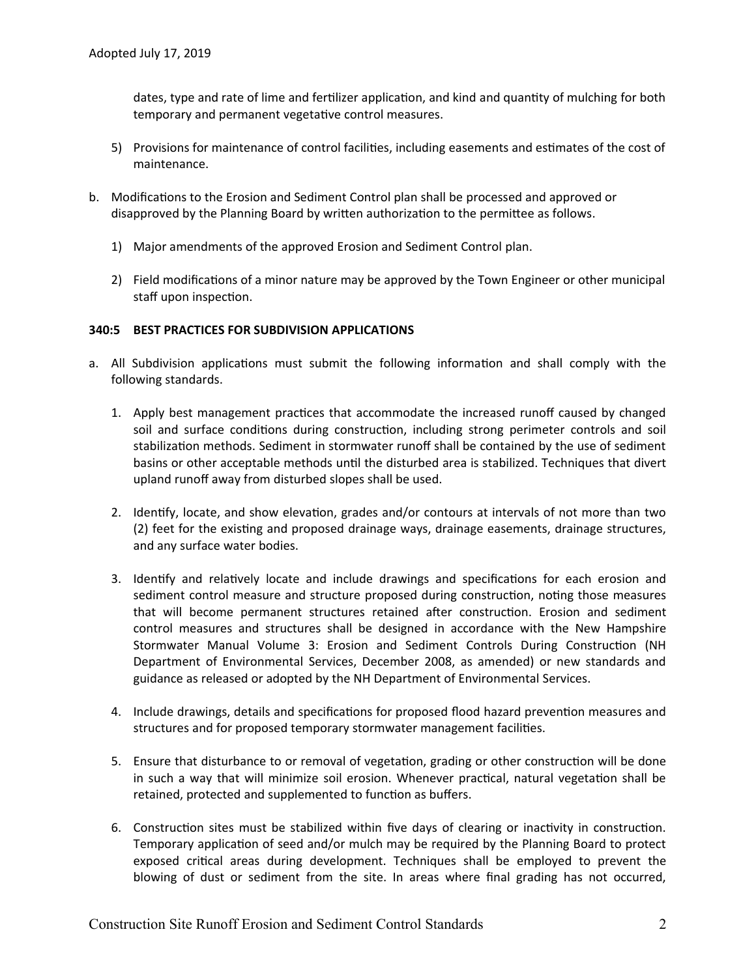dates, type and rate of lime and fertilizer application, and kind and quantity of mulching for both temporary and permanent vegetative control measures.

- 5) Provisions for maintenance of control facilities, including easements and estimates of the cost of maintenance.
- b. Modifications to the Erosion and Sediment Control plan shall be processed and approved or disapproved by the Planning Board by written authorization to the permittee as follows.
	- 1) Major amendments of the approved Erosion and Sediment Control plan.
	- 2) Field modifications of a minor nature may be approved by the Town Engineer or other municipal staff upon inspection.

#### **340:5 BEST PRACTICES FOR SUBDIVISION APPLICATIONS**

- a. All Subdivision applications must submit the following information and shall comply with the following standards.
	- 1. Apply best management practices that accommodate the increased runoff caused by changed soil and surface conditions during construction, including strong perimeter controls and soil stabilization methods. Sediment in stormwater runoff shall be contained by the use of sediment basins or other acceptable methods until the disturbed area is stabilized. Techniques that divert upland runoff away from disturbed slopes shall be used.
	- 2. Identify, locate, and show elevation, grades and/or contours at intervals of not more than two (2) feet for the existing and proposed drainage ways, drainage easements, drainage structures, and any surface water bodies.
	- 3. Identify and relatively locate and include drawings and specifications for each erosion and sediment control measure and structure proposed during construction, noting those measures that will become permanent structures retained after construction. Erosion and sediment control measures and structures shall be designed in accordance with the New Hampshire Stormwater Manual Volume 3: Erosion and Sediment Controls During Construction (NH Department of Environmental Services, December 2008, as amended) or new standards and guidance as released or adopted by the NH Department of Environmental Services.
	- 4. Include drawings, details and specifications for proposed flood hazard prevention measures and structures and for proposed temporary stormwater management facilities.
	- 5. Ensure that disturbance to or removal of vegetation, grading or other construction will be done in such a way that will minimize soil erosion. Whenever practical, natural vegetation shall be retained, protected and supplemented to function as buffers.
	- 6. Construction sites must be stabilized within five days of clearing or inactivity in construction. Temporary application of seed and/or mulch may be required by the Planning Board to protect exposed critical areas during development. Techniques shall be employed to prevent the blowing of dust or sediment from the site. In areas where final grading has not occurred,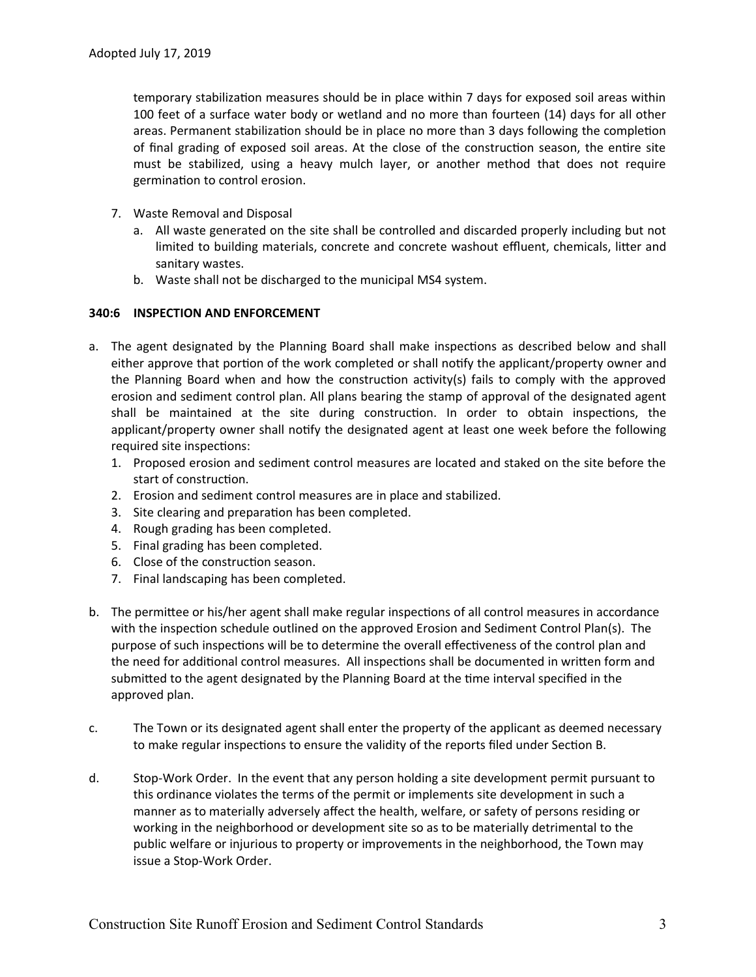temporary stabilization measures should be in place within 7 days for exposed soil areas within 100 feet of a surface water body or wetland and no more than fourteen (14) days for all other areas. Permanent stabilization should be in place no more than 3 days following the completion of final grading of exposed soil areas. At the close of the construction season, the entire site must be stabilized, using a heavy mulch layer, or another method that does not require germination to control erosion.

- 7. Waste Removal and Disposal
	- a. All waste generated on the site shall be controlled and discarded properly including but not limited to building materials, concrete and concrete washout effluent, chemicals, litter and sanitary wastes.
	- b. Waste shall not be discharged to the municipal MS4 system.

## **340:6 INSPECTION AND ENFORCEMENT**

- a. The agent designated by the Planning Board shall make inspections as described below and shall either approve that portion of the work completed or shall notify the applicant/property owner and the Planning Board when and how the construction activity(s) fails to comply with the approved erosion and sediment control plan. All plans bearing the stamp of approval of the designated agent shall be maintained at the site during construction. In order to obtain inspections, the applicant/property owner shall notify the designated agent at least one week before the following required site inspections:
	- 1. Proposed erosion and sediment control measures are located and staked on the site before the start of construction.
	- 2. Erosion and sediment control measures are in place and stabilized.
	- 3. Site clearing and preparation has been completed.
	- 4. Rough grading has been completed.
	- 5. Final grading has been completed.
	- 6. Close of the construction season.
	- 7. Final landscaping has been completed.
- b. The permittee or his/her agent shall make regular inspections of all control measures in accordance with the inspection schedule outlined on the approved Erosion and Sediment Control Plan(s). The purpose of such inspections will be to determine the overall effectiveness of the control plan and the need for additional control measures. All inspections shall be documented in written form and submitted to the agent designated by the Planning Board at the time interval specified in the approved plan.
- c. The Town or its designated agent shall enter the property of the applicant as deemed necessary to make regular inspections to ensure the validity of the reports filed under Section B.
- d. Stop-Work Order. In the event that any person holding a site development permit pursuant to this ordinance violates the terms of the permit or implements site development in such a manner as to materially adversely affect the health, welfare, or safety of persons residing or working in the neighborhood or development site so as to be materially detrimental to the public welfare or injurious to property or improvements in the neighborhood, the Town may issue a Stop-Work Order.